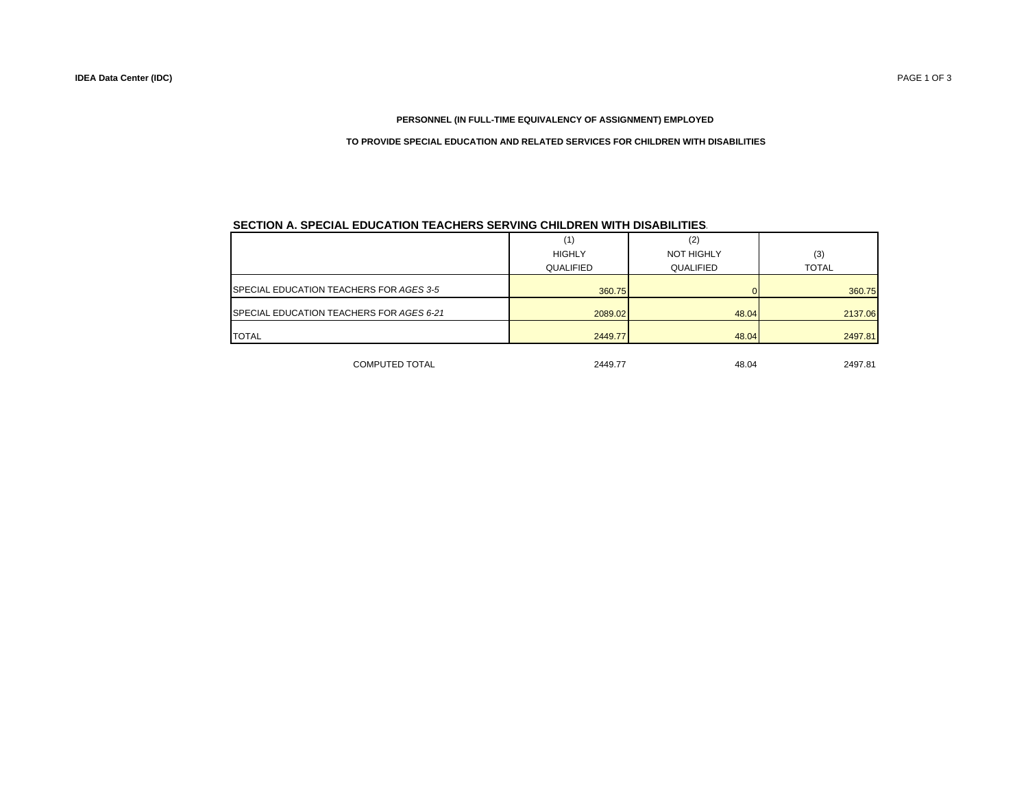# **PERSONNEL (IN FULL-TIME EQUIVALENCY OF ASSIGNMENT) EMPLOYED**

### **TO PROVIDE SPECIAL EDUCATION AND RELATED SERVICES FOR CHILDREN WITH DISABILITIES**

## **SECTION A. SPECIAL EDUCATION TEACHERS SERVING CHILDREN WITH DISABILITIES.**

|                                          | (1)           | (2)               |              |  |
|------------------------------------------|---------------|-------------------|--------------|--|
|                                          | <b>HIGHLY</b> | <b>NOT HIGHLY</b> | (3)          |  |
|                                          | QUALIFIED     | QUALIFIED         | <b>TOTAL</b> |  |
| SPECIAL EDUCATION TEACHERS FOR AGES 3-5  | 360.75        |                   | 360.75       |  |
| SPECIAL EDUCATION TEACHERS FOR AGES 6-21 | 2089.02       | 48.04             | 2137.06      |  |
| <b>TOTAL</b>                             | 2449.77       | 48.04             | 2497.81      |  |
| <b>COMPUTED TOTAL</b>                    | 2449.77       | 48.04             | 2497.81      |  |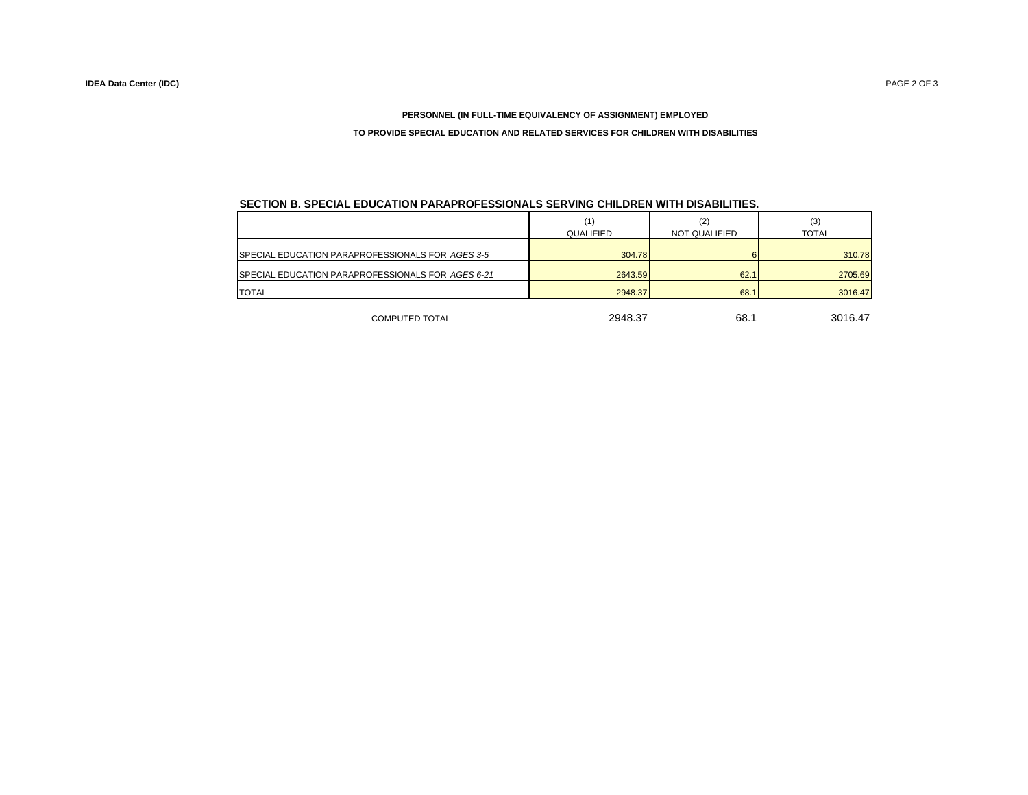## **PERSONNEL (IN FULL-TIME EQUIVALENCY OF ASSIGNMENT) EMPLOYED**

## **TO PROVIDE SPECIAL EDUCATION AND RELATED SERVICES FOR CHILDREN WITH DISABILITIES**

| SECTION B. SPECIAL EDUCATION PARAPROFESSIONALS SERVING CHILDREN WITH DISABILITIES. |  |  |  |  |  |  |
|------------------------------------------------------------------------------------|--|--|--|--|--|--|
|                                                                                    |  |  |  |  |  |  |

|                                                           |           |               | (3)          |  |
|-----------------------------------------------------------|-----------|---------------|--------------|--|
|                                                           | QUALIFIED | NOT QUALIFIED | <b>TOTAL</b> |  |
|                                                           |           |               |              |  |
| <b>ISPECIAL EDUCATION PARAPROFESSIONALS FOR AGES 3-5</b>  | 304.78    |               | 310.78       |  |
| <b>ISPECIAL EDUCATION PARAPROFESSIONALS FOR AGES 6-21</b> | 2643.59   | 62.1          | 2705.69      |  |
| <b>TOTAL</b>                                              | 2948.37   | 68.1          | 3016.47      |  |
|                                                           |           |               |              |  |

COMPUTED TOTAL

2948.37 68.1 3016.47